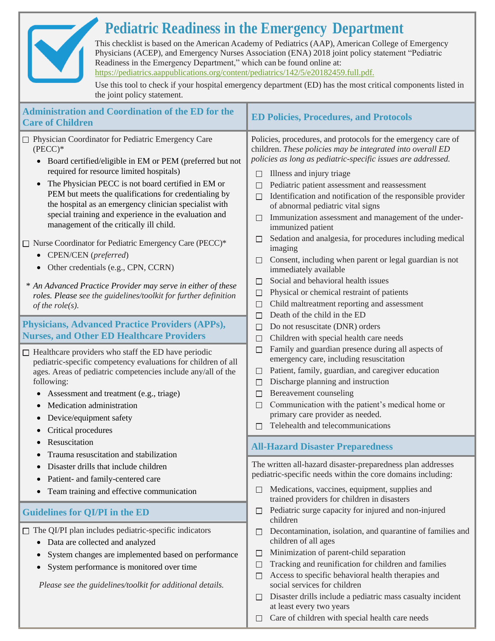## **Pediatric Readiness in the Emergency Department**

This checklist is based on the American Academy of Pediatrics (AAP), American College of Emergency Physicians (ACEP), and Emergency Nurses Association (ENA) 2018 joint policy statement "Pediatric Readiness in the Emergency Department," which can be found online at: [https://pediatrics.aappublications.org/content/pediatrics/142/5/e20182459.full.pdf.](https://pediatrics.aappublications.org/content/pediatrics/142/5/e20182459.full.pdf)

Use this tool to check if your hospital emergency department (ED) has the most critical components listed in the joint policy statement.

| <b>Administration and Coordination of the ED for the</b><br><b>Care of Children</b>                                                                                                                                                                                                                                                                                                                                                                                                                                                                                                                                                                                                                                                                                                                                                                                                                                                                                                                                                                                                                                                                                                              | <b>ED Policies, Procedures, and Protocols</b>                                                                                                                                                                                                                                                                                                                                                                                                                                                                                                                                                                                                                                                                                                                                                                                                                                                                                                                                                                                                                                                                                                                                                                                                                                                              |  |
|--------------------------------------------------------------------------------------------------------------------------------------------------------------------------------------------------------------------------------------------------------------------------------------------------------------------------------------------------------------------------------------------------------------------------------------------------------------------------------------------------------------------------------------------------------------------------------------------------------------------------------------------------------------------------------------------------------------------------------------------------------------------------------------------------------------------------------------------------------------------------------------------------------------------------------------------------------------------------------------------------------------------------------------------------------------------------------------------------------------------------------------------------------------------------------------------------|------------------------------------------------------------------------------------------------------------------------------------------------------------------------------------------------------------------------------------------------------------------------------------------------------------------------------------------------------------------------------------------------------------------------------------------------------------------------------------------------------------------------------------------------------------------------------------------------------------------------------------------------------------------------------------------------------------------------------------------------------------------------------------------------------------------------------------------------------------------------------------------------------------------------------------------------------------------------------------------------------------------------------------------------------------------------------------------------------------------------------------------------------------------------------------------------------------------------------------------------------------------------------------------------------------|--|
| □ Physician Coordinator for Pediatric Emergency Care<br>$(PECC)*$<br>• Board certified/eligible in EM or PEM (preferred but not<br>required for resource limited hospitals)<br>The Physician PECC is not board certified in EM or<br>$\bullet$<br>PEM but meets the qualifications for credentialing by<br>the hospital as an emergency clinician specialist with<br>special training and experience in the evaluation and<br>management of the critically ill child.<br>$\Box$ Nurse Coordinator for Pediatric Emergency Care (PECC)*<br>• CPEN/CEN (preferred)<br>• Other credentials (e.g., CPN, CCRN)<br>* An Advanced Practice Provider may serve in either of these<br>roles. Please see the guidelines/toolkit for further definition<br>of the $role(s)$ .<br><b>Physicians, Advanced Practice Providers (APPs),</b><br><b>Nurses, and Other ED Healthcare Providers</b><br>$\Box$ Healthcare providers who staff the ED have periodic<br>pediatric-specific competency evaluations for children of all<br>ages. Areas of pediatric competencies include any/all of the<br>following:<br>Assessment and treatment (e.g., triage)<br>Medication administration<br>Device/equipment safety | Policies, procedures, and protocols for the emergency care of<br>children. These policies may be integrated into overall ED<br>policies as long as pediatric-specific issues are addressed.<br>Illness and injury triage<br>П<br>Pediatric patient assessment and reassessment<br>П<br>Identification and notification of the responsible provider<br>$\Box$<br>of abnormal pediatric vital signs<br>Immunization assessment and management of the under-<br>immunized patient<br>Sedation and analgesia, for procedures including medical<br>$\Box$<br>imaging<br>Consent, including when parent or legal guardian is not<br>immediately available<br>Social and behavioral health issues<br>$\mathsf{L}$<br>Physical or chemical restraint of patients<br>$\Box$<br>Child maltreatment reporting and assessment<br>□<br>Death of the child in the ED<br>П<br>Do not resuscitate (DNR) orders<br>П<br>Children with special health care needs<br>П<br>Family and guardian presence during all aspects of<br>$\Box$<br>emergency care, including resuscitation<br>Patient, family, guardian, and caregiver education<br>$\Box$<br>Discharge planning and instruction<br>П<br>Bereavement counseling<br>$\Box$<br>Communication with the patient's medical home or<br>П<br>primary care provider as needed. |  |
| Critical procedures<br>Resuscitation                                                                                                                                                                                                                                                                                                                                                                                                                                                                                                                                                                                                                                                                                                                                                                                                                                                                                                                                                                                                                                                                                                                                                             | Telehealth and telecommunications                                                                                                                                                                                                                                                                                                                                                                                                                                                                                                                                                                                                                                                                                                                                                                                                                                                                                                                                                                                                                                                                                                                                                                                                                                                                          |  |
| Trauma resuscitation and stabilization                                                                                                                                                                                                                                                                                                                                                                                                                                                                                                                                                                                                                                                                                                                                                                                                                                                                                                                                                                                                                                                                                                                                                           | <b>All-Hazard Disaster Preparedness</b>                                                                                                                                                                                                                                                                                                                                                                                                                                                                                                                                                                                                                                                                                                                                                                                                                                                                                                                                                                                                                                                                                                                                                                                                                                                                    |  |
| Disaster drills that include children<br>$\bullet$<br>Patient- and family-centered care<br>Team training and effective communication                                                                                                                                                                                                                                                                                                                                                                                                                                                                                                                                                                                                                                                                                                                                                                                                                                                                                                                                                                                                                                                             | The written all-hazard disaster-preparedness plan addresses<br>pediatric-specific needs within the core domains including:<br>Medications, vaccines, equipment, supplies and<br>trained providers for children in disasters                                                                                                                                                                                                                                                                                                                                                                                                                                                                                                                                                                                                                                                                                                                                                                                                                                                                                                                                                                                                                                                                                |  |
| <b>Guidelines for QI/PI in the ED</b>                                                                                                                                                                                                                                                                                                                                                                                                                                                                                                                                                                                                                                                                                                                                                                                                                                                                                                                                                                                                                                                                                                                                                            | Pediatric surge capacity for injured and non-injured<br>$\Box$<br>children                                                                                                                                                                                                                                                                                                                                                                                                                                                                                                                                                                                                                                                                                                                                                                                                                                                                                                                                                                                                                                                                                                                                                                                                                                 |  |
| $\Box$ The QI/PI plan includes pediatric-specific indicators<br>Data are collected and analyzed<br>$\bullet$<br>System changes are implemented based on performance<br>$\bullet$<br>System performance is monitored over time<br>$\bullet$<br>Please see the guidelines/toolkit for additional details.                                                                                                                                                                                                                                                                                                                                                                                                                                                                                                                                                                                                                                                                                                                                                                                                                                                                                          | Decontamination, isolation, and quarantine of families and<br>П<br>children of all ages<br>Minimization of parent-child separation<br>$\Box$<br>Tracking and reunification for children and families<br>$\Box$<br>Access to specific behavioral health therapies and<br>П<br>social services for children<br>Disaster drills include a pediatric mass casualty incident<br>⊔<br>at least every two years                                                                                                                                                                                                                                                                                                                                                                                                                                                                                                                                                                                                                                                                                                                                                                                                                                                                                                   |  |

 $\Box$  Care of children with special health care needs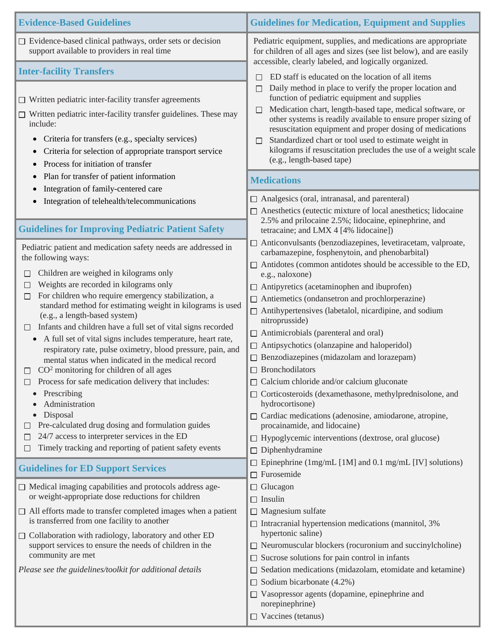| <b>Evidence-Based Guidelines</b>                                                                                                                                                                                                                                                                                                                                                                                                                                                                                                                                                                                                                                                                                                                                                                                                                                                                         | <b>Guidelines for Medication, Equipment and Supplies</b>                                                                                                                                                                                                                                                                                                                                                                                                                                                                                                                                                                                                                                                                                                                                                                      |  |  |
|----------------------------------------------------------------------------------------------------------------------------------------------------------------------------------------------------------------------------------------------------------------------------------------------------------------------------------------------------------------------------------------------------------------------------------------------------------------------------------------------------------------------------------------------------------------------------------------------------------------------------------------------------------------------------------------------------------------------------------------------------------------------------------------------------------------------------------------------------------------------------------------------------------|-------------------------------------------------------------------------------------------------------------------------------------------------------------------------------------------------------------------------------------------------------------------------------------------------------------------------------------------------------------------------------------------------------------------------------------------------------------------------------------------------------------------------------------------------------------------------------------------------------------------------------------------------------------------------------------------------------------------------------------------------------------------------------------------------------------------------------|--|--|
| $\Box$ Evidence-based clinical pathways, order sets or decision<br>support available to providers in real time                                                                                                                                                                                                                                                                                                                                                                                                                                                                                                                                                                                                                                                                                                                                                                                           | Pediatric equipment, supplies, and medications are appropriate<br>for children of all ages and sizes (see list below), and are easily<br>accessible, clearly labeled, and logically organized.                                                                                                                                                                                                                                                                                                                                                                                                                                                                                                                                                                                                                                |  |  |
| <b>Inter-facility Transfers</b>                                                                                                                                                                                                                                                                                                                                                                                                                                                                                                                                                                                                                                                                                                                                                                                                                                                                          | ED staff is educated on the location of all items<br>П                                                                                                                                                                                                                                                                                                                                                                                                                                                                                                                                                                                                                                                                                                                                                                        |  |  |
| $\Box$ Written pediatric inter-facility transfer agreements<br>Written pediatric inter-facility transfer guidelines. These may<br>include:<br>Criteria for transfers (e.g., specialty services)<br>$\bullet$<br>Criteria for selection of appropriate transport service<br>$\bullet$<br>Process for initiation of transfer                                                                                                                                                                                                                                                                                                                                                                                                                                                                                                                                                                               | Daily method in place to verify the proper location and<br>$\Box$<br>function of pediatric equipment and supplies<br>Medication chart, length-based tape, medical software, or<br>$\Box$<br>other systems is readily available to ensure proper sizing of<br>resuscitation equipment and proper dosing of medications<br>Standardized chart or tool used to estimate weight in<br>$\Box$<br>kilograms if resuscitation precludes the use of a weight scale<br>(e.g., length-based tape)                                                                                                                                                                                                                                                                                                                                       |  |  |
| Plan for transfer of patient information<br>$\bullet$                                                                                                                                                                                                                                                                                                                                                                                                                                                                                                                                                                                                                                                                                                                                                                                                                                                    | <b>Medications</b>                                                                                                                                                                                                                                                                                                                                                                                                                                                                                                                                                                                                                                                                                                                                                                                                            |  |  |
| Integration of family-centered care<br>$\bullet$<br>Integration of telehealth/telecommunications                                                                                                                                                                                                                                                                                                                                                                                                                                                                                                                                                                                                                                                                                                                                                                                                         | $\Box$ Analgesics (oral, intranasal, and parenteral)<br>$\Box$ Anesthetics (eutectic mixture of local anesthetics; lidocaine<br>2.5% and prilocaine 2.5%; lidocaine, epinephrine, and                                                                                                                                                                                                                                                                                                                                                                                                                                                                                                                                                                                                                                         |  |  |
| <b>Guidelines for Improving Pediatric Patient Safety</b><br>Pediatric patient and medication safety needs are addressed in                                                                                                                                                                                                                                                                                                                                                                                                                                                                                                                                                                                                                                                                                                                                                                               | tetracaine; and LMX 4 [4% lidocaine])<br>$\Box$ Anticonvulsants (benzodiazepines, levetiracetam, valproate,                                                                                                                                                                                                                                                                                                                                                                                                                                                                                                                                                                                                                                                                                                                   |  |  |
| the following ways:<br>Children are weighed in kilograms only<br>$\Box$<br>Weights are recorded in kilograms only<br>ப<br>For children who require emergency stabilization, a<br>□<br>standard method for estimating weight in kilograms is used<br>(e.g., a length-based system)<br>Infants and children have a full set of vital signs recorded<br>$\Box$<br>• A full set of vital signs includes temperature, heart rate,<br>respiratory rate, pulse oximetry, blood pressure, pain, and<br>mental status when indicated in the medical record<br>$CO2$ monitoring for children of all ages<br>П<br>Process for safe medication delivery that includes:<br>⊔<br>Prescribing<br>Administration<br>Disposal<br>$\bullet$<br>Pre-calculated drug dosing and formulation guides<br>24/7 access to interpreter services in the ED<br>ப<br>Timely tracking and reporting of patient safety events<br>$\Box$ | carbamazepine, fosphenytoin, and phenobarbital)<br>$\Box$ Antidotes (common antidotes should be accessible to the ED,<br>e.g., naloxone)<br>$\Box$ Antipyretics (acetaminophen and ibuprofen)<br>$\Box$ Antiemetics (ondansetron and prochlorperazine)<br>$\Box$ Antihypertensives (labetalol, nicardipine, and sodium<br>nitroprusside)<br>$\Box$ Antimicrobials (parenteral and oral)<br>$\Box$ Antipsychotics (olanzapine and haloperidol)<br>$\Box$ Benzodiazepines (midazolam and lorazepam)<br>$\Box$ Bronchodilators<br>$\Box$ Calcium chloride and/or calcium gluconate<br>□ Corticosteroids (dexamethasone, methylprednisolone, and<br>hydrocortisone)<br>$\Box$ Cardiac medications (adenosine, amiodarone, atropine,<br>procainamide, and lidocaine)<br>$\Box$ Hypoglycemic interventions (dextrose, oral glucose) |  |  |
| <b>Guidelines for ED Support Services</b>                                                                                                                                                                                                                                                                                                                                                                                                                                                                                                                                                                                                                                                                                                                                                                                                                                                                | $\Box$ Diphenhydramine<br>$\Box$ Epinephrine (1mg/mL [1M] and 0.1 mg/mL [IV] solutions)                                                                                                                                                                                                                                                                                                                                                                                                                                                                                                                                                                                                                                                                                                                                       |  |  |
| $\Box$ Medical imaging capabilities and protocols address age-<br>or weight-appropriate dose reductions for children<br>All efforts made to transfer completed images when a patient<br>is transferred from one facility to another<br>$\Box$ Collaboration with radiology, laboratory and other ED<br>support services to ensure the needs of children in the<br>community are met<br>Please see the guidelines/toolkit for additional details                                                                                                                                                                                                                                                                                                                                                                                                                                                          | $\Box$ Furosemide<br>$\Box$ Glucagon<br>$\Box$ Insulin<br>$\Box$ Magnesium sulfate<br>$\Box$ Intracranial hypertension medications (mannitol, 3%<br>hypertonic saline)<br>$\Box$ Neuromuscular blockers (rocuronium and succinylcholine)<br>$\Box$ Sucrose solutions for pain control in infants<br>$\Box$ Sedation medications (midazolam, etomidate and ketamine)<br>$\Box$ Sodium bicarbonate (4.2%)<br>$\Box$ Vasopressor agents (dopamine, epinephrine and<br>norepinephrine)<br>$\Box$ Vaccines (tetanus)                                                                                                                                                                                                                                                                                                               |  |  |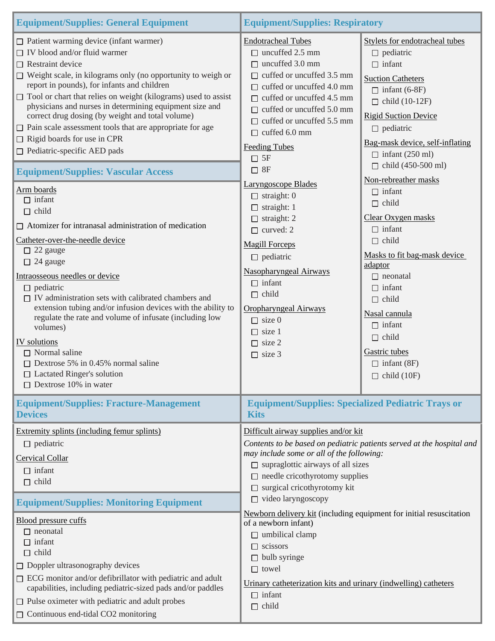| <b>Equipment/Supplies: General Equipment</b>                                                                                                                                                                                                                                                                                                                                                                                                                                                                                                                                                                                                                                                                                                                                                                                                                                                                                                                                                                                                                                                                                                                                                                                     | <b>Equipment/Supplies: Respiratory</b>                                                                                                                                                                                                                                                                                                                                                                                                                                                                                                                                                                                                                                     |                                                                                                                                                                                                                                                                                                                                                                                                                                                                                                                                                                                                                             |
|----------------------------------------------------------------------------------------------------------------------------------------------------------------------------------------------------------------------------------------------------------------------------------------------------------------------------------------------------------------------------------------------------------------------------------------------------------------------------------------------------------------------------------------------------------------------------------------------------------------------------------------------------------------------------------------------------------------------------------------------------------------------------------------------------------------------------------------------------------------------------------------------------------------------------------------------------------------------------------------------------------------------------------------------------------------------------------------------------------------------------------------------------------------------------------------------------------------------------------|----------------------------------------------------------------------------------------------------------------------------------------------------------------------------------------------------------------------------------------------------------------------------------------------------------------------------------------------------------------------------------------------------------------------------------------------------------------------------------------------------------------------------------------------------------------------------------------------------------------------------------------------------------------------------|-----------------------------------------------------------------------------------------------------------------------------------------------------------------------------------------------------------------------------------------------------------------------------------------------------------------------------------------------------------------------------------------------------------------------------------------------------------------------------------------------------------------------------------------------------------------------------------------------------------------------------|
| $\Box$ Patient warming device (infant warmer)<br>$\Box$ IV blood and/or fluid warmer<br>$\Box$ Restraint device<br>$\Box$ Weight scale, in kilograms only (no opportunity to weigh or<br>report in pounds), for infants and children<br>$\Box$ Tool or chart that relies on weight (kilograms) used to assist<br>physicians and nurses in determining equipment size and<br>correct drug dosing (by weight and total volume)<br>$\Box$ Pain scale assessment tools that are appropriate for age<br>$\Box$ Rigid boards for use in CPR<br>$\Box$ Pediatric-specific AED pads<br><b>Equipment/Supplies: Vascular Access</b><br>Arm boards<br>$\Box$ infant<br>$\Box$ child<br>$\Box$ Atomizer for intranasal administration of medication<br>Catheter-over-the-needle device<br>$\Box$ 22 gauge<br>$\Box$ 24 gauge<br>Intraosseous needles or device<br>$\Box$ pediatric<br>$\Box$ IV administration sets with calibrated chambers and<br>extension tubing and/or infusion devices with the ability to<br>regulate the rate and volume of infusate (including low<br>volumes)<br>IV solutions<br>$\Box$ Normal saline<br>$\Box$ Dextrose 5% in 0.45% normal saline<br>□ Lactated Ringer's solution<br>$\Box$ Dextrose 10% in water | <b>Endotracheal Tubes</b><br>$\Box$ uncuffed 2.5 mm<br>$\Box$ uncuffed 3.0 mm<br>$\Box$ cuffed or uncuffed 3.5 mm<br>cuffed or uncuffed 4.0 mm<br>П.<br>$\Box$ cuffed or uncuffed 4.5 mm<br>$\Box$ cuffed or uncuffed 5.0 mm<br>$\Box$ cuffed or uncuffed 5.5 mm<br>$\Box$ cuffed 6.0 mm<br><b>Feeding Tubes</b><br>$\Box$ 5F<br>$\Box$ 8F<br><b>Laryngoscope Blades</b><br>$\Box$ straight: 0<br>$\Box$ straight: 1<br>$\Box$ straight: 2<br>$\Box$ curved: 2<br><b>Magill Forceps</b><br>$\Box$ pediatric<br>Nasopharyngeal Airways<br>$\Box$ infant<br>$\Box$ child<br><b>Oropharyngeal Airways</b><br>$\Box$ size 0<br>$\Box$ size 1<br>$\Box$ size 2<br>$\Box$ size 3 | Stylets for endotracheal tubes<br>$\Box$ pediatric<br>$\Box$ infant<br><b>Suction Catheters</b><br>$\Box$ infant (6-8F)<br>$\Box$ child (10-12F)<br><b>Rigid Suction Device</b><br>$\Box$ pediatric<br>Bag-mask device, self-inflating<br>$\Box$ infant (250 ml)<br>$\Box$ child (450-500 ml)<br>Non-rebreather masks<br>$\Box$ infant<br>$\Box$ child<br>Clear Oxygen masks<br>$\Box$ infant<br>$\Box$ child<br>Masks to fit bag-mask device<br>adaptor<br>$\Box$ neonatal<br>$\Box$ infant<br>$\Box$ child<br>Nasal cannula<br>$\Box$ infant<br>$\Box$ child<br>Gastric tubes<br>$\Box$ infant (8F)<br>$\Box$ child (10F) |
| <b>Equipment/Supplies: Fracture-Management</b><br><b>Devices</b>                                                                                                                                                                                                                                                                                                                                                                                                                                                                                                                                                                                                                                                                                                                                                                                                                                                                                                                                                                                                                                                                                                                                                                 | <b>Equipment/Supplies: Specialized Pediatric Trays or</b><br><b>Kits</b>                                                                                                                                                                                                                                                                                                                                                                                                                                                                                                                                                                                                   |                                                                                                                                                                                                                                                                                                                                                                                                                                                                                                                                                                                                                             |
| Extremity splints (including femur splints)<br>$\Box$ pediatric<br><b>Cervical Collar</b><br>$\Box$ infant<br>$\Box$ child<br><b>Equipment/Supplies: Monitoring Equipment</b><br><b>Blood pressure cuffs</b><br>$\Box$ neonatal<br>$\Box$ infant                                                                                                                                                                                                                                                                                                                                                                                                                                                                                                                                                                                                                                                                                                                                                                                                                                                                                                                                                                                 | Difficult airway supplies and/or kit<br>may include some or all of the following:<br>$\Box$ supraglottic airways of all sizes<br>$\Box$ needle cricothyrotomy supplies<br>surgical cricothyrotomy kit<br>$\Box$ video laryngoscopy<br>Newborn delivery kit (including equipment for initial resuscitation<br>of a newborn infant)<br>$\Box$ umbilical clamp                                                                                                                                                                                                                                                                                                                | Contents to be based on pediatric patients served at the hospital and                                                                                                                                                                                                                                                                                                                                                                                                                                                                                                                                                       |
| $\Box$ child<br>$\Box$ Doppler ultrasonography devices<br>$\Box$ ECG monitor and/or defibrillator with pediatric and adult<br>capabilities, including pediatric-sized pads and/or paddles<br>$\Box$ Pulse oximeter with pediatric and adult probes<br>$\Box$ Continuous end-tidal CO2 monitoring                                                                                                                                                                                                                                                                                                                                                                                                                                                                                                                                                                                                                                                                                                                                                                                                                                                                                                                                 | $\Box$ scissors<br>$\Box$ bulb syringe<br>$\Box$ towel<br>Urinary catheterization kits and urinary (indwelling) catheters<br>$\Box$ infant<br>$\Box$ child                                                                                                                                                                                                                                                                                                                                                                                                                                                                                                                 |                                                                                                                                                                                                                                                                                                                                                                                                                                                                                                                                                                                                                             |